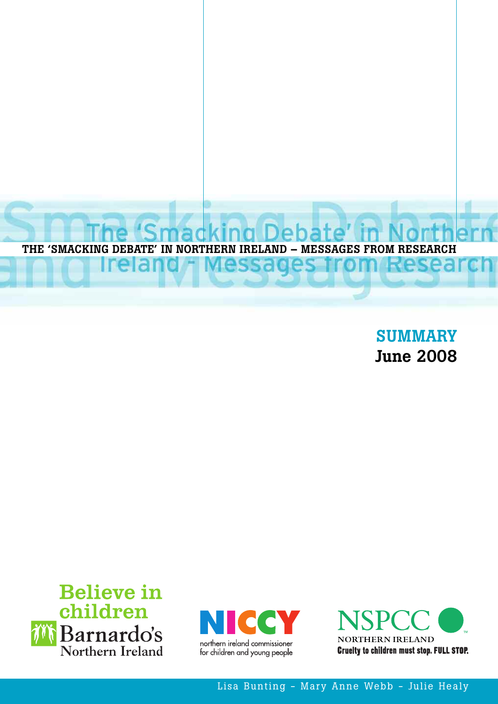

**SUMMARY June 2008**







Lisa Bunting - Mary Anne Webb - Julie Healy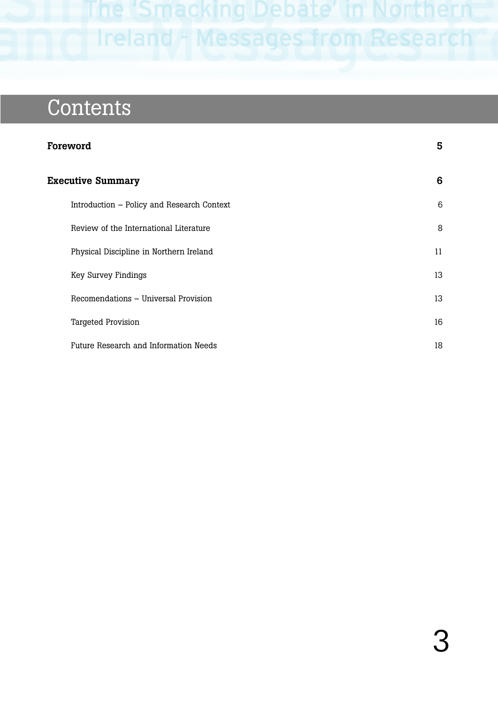Ireland - Messages from Research

# **Contents**

| Foreword                                   | 5  |
|--------------------------------------------|----|
| <b>Executive Summary</b>                   | 6  |
| Introduction – Policy and Research Context | 6  |
| Review of the International Literature     | 8  |
| Physical Discipline in Northern Ireland    | 11 |
| Key Survey Findings                        | 13 |
| Recomendations - Universal Provision       | 13 |
| <b>Targeted Provision</b>                  | 16 |
| Future Research and Information Needs      | 18 |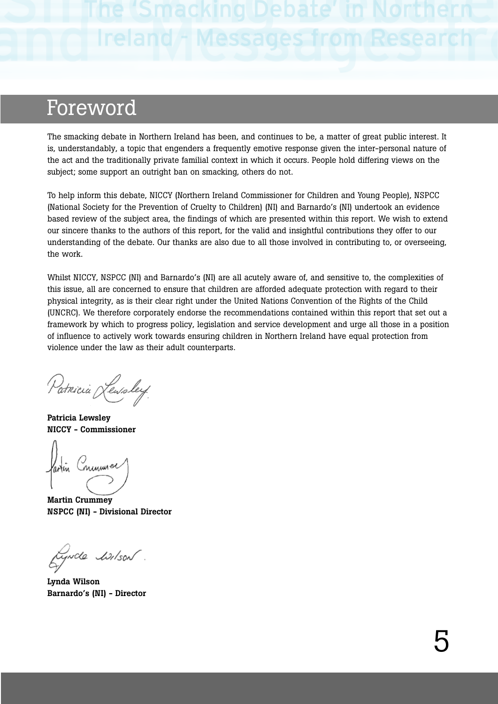## Foreword

The smacking debate in Northern Ireland has been, and continues to be, a matter of great public interest. It is, understandably, a topic that engenders a frequently emotive response given the inter-personal nature of the act and the traditionally private familial context in which it occurs. People hold differing views on the subject; some support an outright ban on smacking, others do not.

To help inform this debate, NICCY (Northern Ireland Commissioner for Children and Young People), NSPCC (National Society for the Prevention of Cruelty to Children) (NI) and Barnardo's (NI) undertook an evidence based review of the subject area, the findings of which are presented within this report. We wish to extend our sincere thanks to the authors of this report, for the valid and insightful contributions they offer to our understanding of the debate. Our thanks are also due to all those involved in contributing to, or overseeing, the work.

Whilst NICCY, NSPCC (NI) and Barnardo's (NI) are all acutely aware of, and sensitive to, the complexities of this issue, all are concerned to ensure that children are afforded adequate protection with regard to their physical integrity, as is their clear right under the United Nations Convention of the Rights of the Child (UNCRC). We therefore corporately endorse the recommendations contained within this report that set out a framework by which to progress policy, legislation and service development and urge all those in a position of influence to actively work towards ensuring children in Northern Ireland have equal protection from violence under the law as their adult counterparts.

Patricia Lewsley

**Patricia Lewsley NICCY - Commissioner**

<u>inuuunel</u>

**Martin Crummey NSPCC (NI) - Divisional Director** 

tywole listson.

**Lynda Wilson Barnardo's (NI) - Director**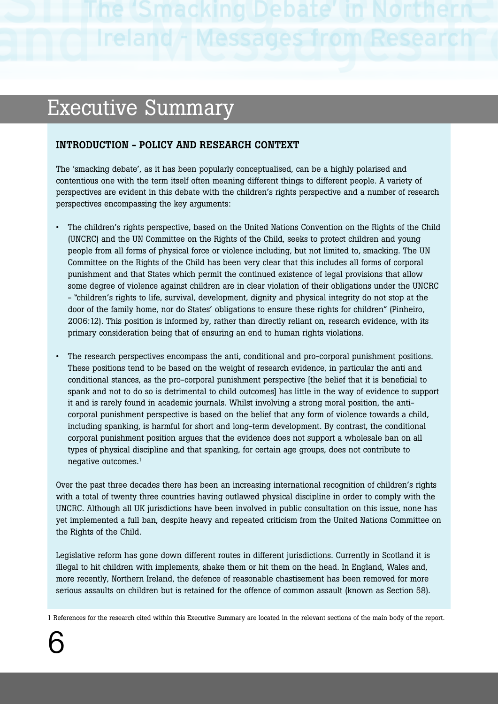# Executive Summary

### **INTRODUCTION - POLICY AND RESEARCH CONTEXT**

The 'smacking debate', as it has been popularly conceptualised, can be a highly polarised and contentious one with the term itself often meaning different things to different people. A variety of perspectives are evident in this debate with the children's rights perspective and a number of research perspectives encompassing the key arguments:

- The children's rights perspective, based on the United Nations Convention on the Rights of the Child (UNCRC) and the UN Committee on the Rights of the Child, seeks to protect children and young people from all forms of physical force or violence including, but not limited to, smacking. The UN Committee on the Rights of the Child has been very clear that this includes all forms of corporal punishment and that States which permit the continued existence of legal provisions that allow some degree of violence against children are in clear violation of their obligations under the UNCRC - "children's rights to life, survival, development, dignity and physical integrity do not stop at the door of the family home, nor do States' obligations to ensure these rights for children" (Pinheiro, 2006:12). This position is informed by, rather than directly reliant on, research evidence, with its primary consideration being that of ensuring an end to human rights violations.
- The research perspectives encompass the anti, conditional and pro-corporal punishment positions. These positions tend to be based on the weight of research evidence, in particular the anti and conditional stances, as the pro-corporal punishment perspective [the belief that it is beneficial to spank and not to do so is detrimental to child outcomes] has little in the way of evidence to support it and is rarely found in academic journals. Whilst involving a strong moral position, the anticorporal punishment perspective is based on the belief that any form of violence towards a child, including spanking, is harmful for short and long-term development. By contrast, the conditional corporal punishment position argues that the evidence does not support a wholesale ban on all types of physical discipline and that spanking, for certain age groups, does not contribute to negative outcomes.<sup>1</sup>

Over the past three decades there has been an increasing international recognition of children's rights with a total of twenty three countries having outlawed physical discipline in order to comply with the UNCRC. Although all UK jurisdictions have been involved in public consultation on this issue, none has yet implemented a full ban, despite heavy and repeated criticism from the United Nations Committee on the Rights of the Child.

Legislative reform has gone down different routes in different jurisdictions. Currently in Scotland it is illegal to hit children with implements, shake them or hit them on the head. In England, Wales and, more recently, Northern Ireland, the defence of reasonable chastisement has been removed for more serious assaults on children but is retained for the offence of common assault (known as Section 58).

1 References for the research cited within this Executive Summary are located in the relevant sections of the main body of the report.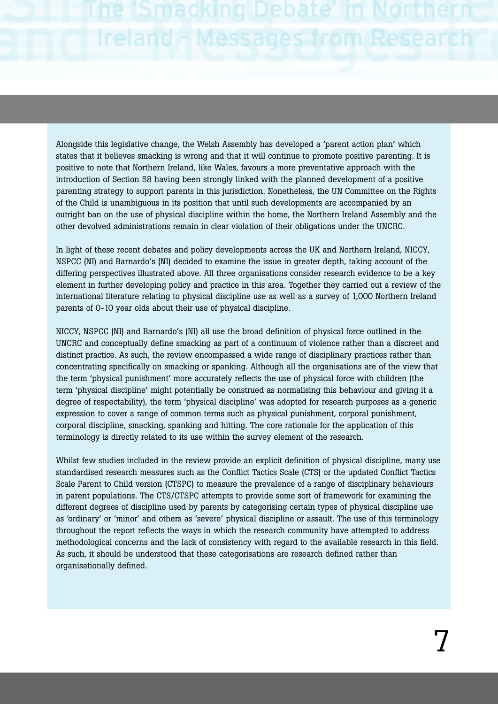Alongside this legislative change, the Welsh Assembly has developed a 'parent action plan' which states that it believes smacking is wrong and that it will continue to promote positive parenting. It is positive to note that Northern Ireland, like Wales, favours a more preventative approach with the introduction of Section 58 having been strongly linked with the planned development of a positive parenting strategy to support parents in this jurisdiction. Nonetheless, the UN Committee on the Rights of the Child is unambiguous in its position that until such developments are accompanied by an outright ban on the use of physical discipline within the home, the Northern Ireland Assembly and the other devolved administrations remain in clear violation of their obligations under the UNCRC.

In light of these recent debates and policy developments across the UK and Northern Ireland, NICCY, NSPCC (NI) and Barnardo's (NI) decided to examine the issue in greater depth, taking account of the differing perspectives illustrated above. All three organisations consider research evidence to be a key element in further developing policy and practice in this area. Together they carried out a review of the international literature relating to physical discipline use as well as a survey of 1,000 Northern Ireland parents of 0-10 year olds about their use of physical discipline.

NICCY, NSPCC (NI) and Barnardo's (NI) all use the broad definition of physical force outlined in the UNCRC and conceptually define smacking as part of a continuum of violence rather than a discreet and distinct practice. As such, the review encompassed a wide range of disciplinary practices rather than concentrating specifically on smacking or spanking. Although all the organisations are of the view that the term 'physical punishment' more accurately reflects the use of physical force with children (the term 'physical discipline' might potentially be construed as normalising this behaviour and giving it a degree of respectability), the term 'physical discipline' was adopted for research purposes as a generic expression to cover a range of common terms such as physical punishment, corporal punishment, corporal discipline, smacking, spanking and hitting. The core rationale for the application of this terminology is directly related to its use within the survey element of the research.

Whilst few studies included in the review provide an explicit definition of physical discipline, many use standardised research measures such as the Conflict Tactics Scale (CTS) or the updated Conflict Tactics Scale Parent to Child version (CTSPC) to measure the prevalence of a range of disciplinary behaviours in parent populations. The CTS/CTSPC attempts to provide some sort of framework for examining the different degrees of discipline used by parents by categorising certain types of physical discipline use as 'ordinary' or 'minor' and others as 'severe' physical discipline or assault. The use of this terminology throughout the report reflects the ways in which the research community have attempted to address methodological concerns and the lack of consistency with regard to the available research in this field. As such, it should be understood that these categorisations are research defined rather than organisationally defined.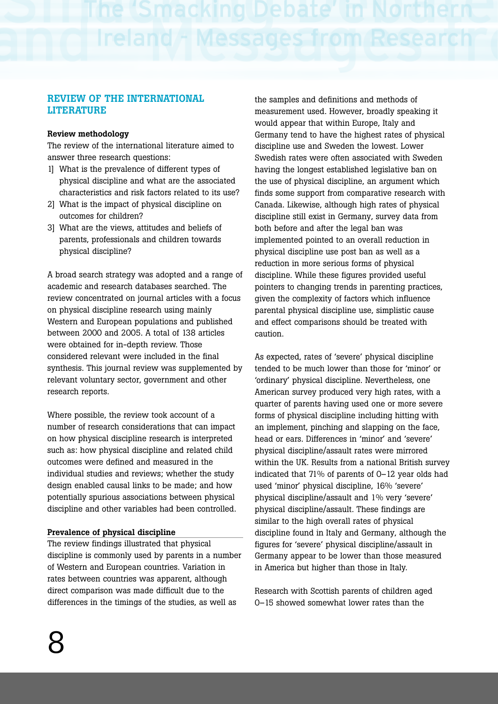### **REVIEW OF THE INTERNATIONAL LITERATURE**

### **Review methodology**

The review of the international literature aimed to answer three research questions:

- 1] What is the prevalence of different types of physical discipline and what are the associated characteristics and risk factors related to its use?
- 2] What is the impact of physical discipline on outcomes for children?
- 3] What are the views, attitudes and beliefs of parents, professionals and children towards physical discipline?

A broad search strategy was adopted and a range of academic and research databases searched. The review concentrated on journal articles with a focus on physical discipline research using mainly Western and European populations and published between 2000 and 2005. A total of 138 articles were obtained for in-depth review. Those considered relevant were included in the final synthesis. This journal review was supplemented by relevant voluntary sector, government and other research reports.

Where possible, the review took account of a number of research considerations that can impact on how physical discipline research is interpreted such as: how physical discipline and related child outcomes were defined and measured in the individual studies and reviews; whether the study design enabled causal links to be made; and how potentially spurious associations between physical discipline and other variables had been controlled.

### **Prevalence of physical discipline**

The review findings illustrated that physical discipline is commonly used by parents in a number of Western and European countries. Variation in rates between countries was apparent, although direct comparison was made difficult due to the differences in the timings of the studies, as well as

the samples and definitions and methods of measurement used. However, broadly speaking it would appear that within Europe, Italy and Germany tend to have the highest rates of physical discipline use and Sweden the lowest. Lower Swedish rates were often associated with Sweden having the longest established legislative ban on the use of physical discipline, an argument which finds some support from comparative research with Canada. Likewise, although high rates of physical discipline still exist in Germany, survey data from both before and after the legal ban was implemented pointed to an overall reduction in physical discipline use post ban as well as a reduction in more serious forms of physical discipline. While these figures provided useful pointers to changing trends in parenting practices, given the complexity of factors which influence parental physical discipline use, simplistic cause and effect comparisons should be treated with caution.

As expected, rates of 'severe' physical discipline tended to be much lower than those for 'minor' or 'ordinary' physical discipline. Nevertheless, one American survey produced very high rates, with a quarter of parents having used one or more severe forms of physical discipline including hitting with an implement, pinching and slapping on the face, head or ears. Differences in 'minor' and 'severe' physical discipline/assault rates were mirrored within the UK. Results from a national British survey indicated that 71% of parents of 0–12 year olds had used 'minor' physical discipline, 16% 'severe' physical discipline/assault and 1% very 'severe' physical discipline/assault. These findings are similar to the high overall rates of physical discipline found in Italy and Germany, although the figures for 'severe' physical discipline/assault in Germany appear to be lower than those measured in America but higher than those in Italy.

Research with Scottish parents of children aged 0–15 showed somewhat lower rates than the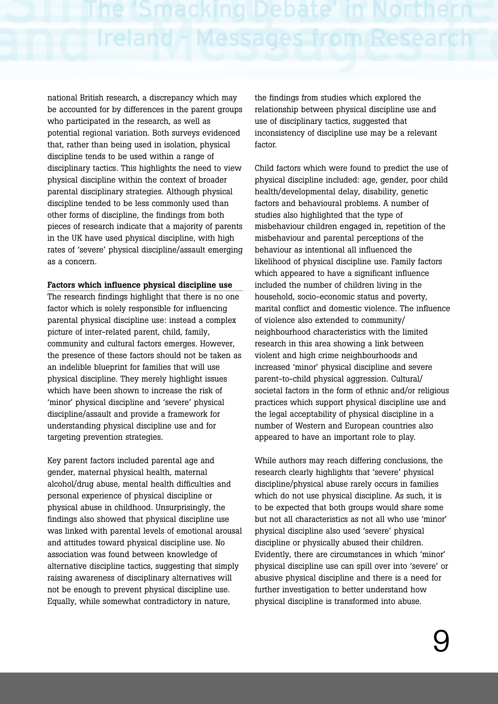national British research, a discrepancy which may be accounted for by differences in the parent groups who participated in the research, as well as potential regional variation. Both surveys evidenced that, rather than being used in isolation, physical discipline tends to be used within a range of disciplinary tactics. This highlights the need to view physical discipline within the context of broader parental disciplinary strategies. Although physical discipline tended to be less commonly used than other forms of discipline, the findings from both pieces of research indicate that a majority of parents in the UK have used physical discipline, with high rates of 'severe' physical discipline/assault emerging as a concern.

### **Factors which influence physical discipline use**

The research findings highlight that there is no one factor which is solely responsible for influencing parental physical discipline use: instead a complex picture of inter-related parent, child, family, community and cultural factors emerges. However, the presence of these factors should not be taken as an indelible blueprint for families that will use physical discipline. They merely highlight issues which have been shown to increase the risk of 'minor' physical discipline and 'severe' physical discipline/assault and provide a framework for understanding physical discipline use and for targeting prevention strategies.

Key parent factors included parental age and gender, maternal physical health, maternal alcohol/drug abuse, mental health difficulties and personal experience of physical discipline or physical abuse in childhood. Unsurprisingly, the findings also showed that physical discipline use was linked with parental levels of emotional arousal and attitudes toward physical discipline use. No association was found between knowledge of alternative discipline tactics, suggesting that simply raising awareness of disciplinary alternatives will not be enough to prevent physical discipline use. Equally, while somewhat contradictory in nature,

the findings from studies which explored the relationship between physical discipline use and use of disciplinary tactics, suggested that inconsistency of discipline use may be a relevant factor

Child factors which were found to predict the use of physical discipline included: age, gender, poor child health/developmental delay, disability, genetic factors and behavioural problems. A number of studies also highlighted that the type of misbehaviour children engaged in, repetition of the misbehaviour and parental perceptions of the behaviour as intentional all influenced the likelihood of physical discipline use. Family factors which appeared to have a significant influence included the number of children living in the household, socio-economic status and poverty, marital conflict and domestic violence. The influence of violence also extended to community/ neighbourhood characteristics with the limited research in this area showing a link between violent and high crime neighbourhoods and increased 'minor' physical discipline and severe parent-to-child physical aggression. Cultural/ societal factors in the form of ethnic and/or religious practices which support physical discipline use and the legal acceptability of physical discipline in a number of Western and European countries also appeared to have an important role to play.

While authors may reach differing conclusions, the research clearly highlights that 'severe' physical discipline/physical abuse rarely occurs in families which do not use physical discipline. As such, it is to be expected that both groups would share some but not all characteristics as not all who use 'minor' physical discipline also used 'severe' physical discipline or physically abused their children. Evidently, there are circumstances in which 'minor' physical discipline use can spill over into 'severe' or abusive physical discipline and there is a need for further investigation to better understand how physical discipline is transformed into abuse.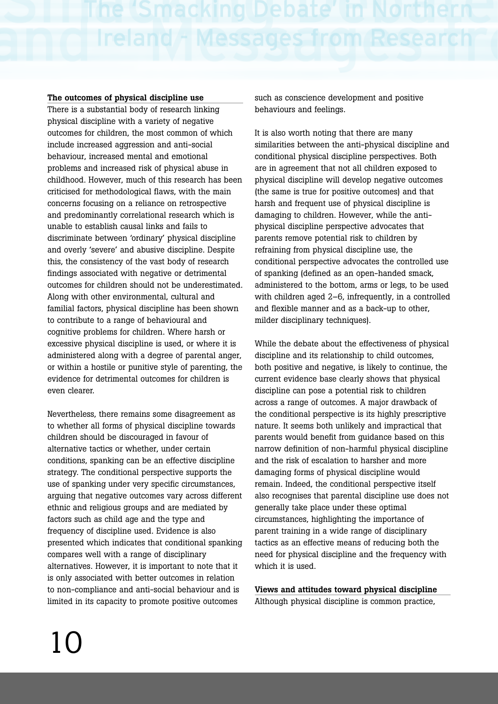Ireland + Messages from Resear

### **The outcomes of physical discipline use**

There is a substantial body of research linking physical discipline with a variety of negative outcomes for children, the most common of which include increased aggression and anti-social behaviour, increased mental and emotional problems and increased risk of physical abuse in childhood. However, much of this research has been criticised for methodological flaws, with the main concerns focusing on a reliance on retrospective and predominantly correlational research which is unable to establish causal links and fails to discriminate between 'ordinary' physical discipline and overly 'severe' and abusive discipline. Despite this, the consistency of the vast body of research findings associated with negative or detrimental outcomes for children should not be underestimated. Along with other environmental, cultural and familial factors, physical discipline has been shown to contribute to a range of behavioural and cognitive problems for children. Where harsh or excessive physical discipline is used, or where it is administered along with a degree of parental anger, or within a hostile or punitive style of parenting, the evidence for detrimental outcomes for children is even clearer.

Nevertheless, there remains some disagreement as to whether all forms of physical discipline towards children should be discouraged in favour of alternative tactics or whether, under certain conditions, spanking can be an effective discipline strategy. The conditional perspective supports the use of spanking under very specific circumstances, arguing that negative outcomes vary across different ethnic and religious groups and are mediated by factors such as child age and the type and frequency of discipline used. Evidence is also presented which indicates that conditional spanking compares well with a range of disciplinary alternatives. However, it is important to note that it is only associated with better outcomes in relation to non-compliance and anti-social behaviour and is limited in its capacity to promote positive outcomes

such as conscience development and positive behaviours and feelings.

It is also worth noting that there are many similarities between the anti-physical discipline and conditional physical discipline perspectives. Both are in agreement that not all children exposed to physical discipline will develop negative outcomes (the same is true for positive outcomes) and that harsh and frequent use of physical discipline is damaging to children. However, while the antiphysical discipline perspective advocates that parents remove potential risk to children by refraining from physical discipline use, the conditional perspective advocates the controlled use of spanking (defined as an open-handed smack, administered to the bottom, arms or legs, to be used with children aged 2–6, infrequently, in a controlled and flexible manner and as a back-up to other, milder disciplinary techniques).

While the debate about the effectiveness of physical discipline and its relationship to child outcomes, both positive and negative, is likely to continue, the current evidence base clearly shows that physical discipline can pose a potential risk to children across a range of outcomes. A major drawback of the conditional perspective is its highly prescriptive nature. It seems both unlikely and impractical that parents would benefit from guidance based on this narrow definition of non-harmful physical discipline and the risk of escalation to harsher and more damaging forms of physical discipline would remain. Indeed, the conditional perspective itself also recognises that parental discipline use does not generally take place under these optimal circumstances, highlighting the importance of parent training in a wide range of disciplinary tactics as an effective means of reducing both the need for physical discipline and the frequency with which it is used.

**Views and attitudes toward physical discipline** Although physical discipline is common practice,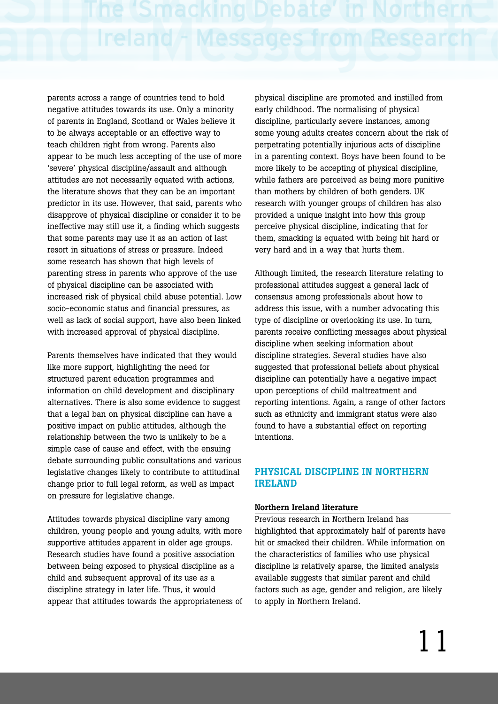parents across a range of countries tend to hold negative attitudes towards its use. Only a minority of parents in England, Scotland or Wales believe it to be always acceptable or an effective way to teach children right from wrong. Parents also appear to be much less accepting of the use of more 'severe' physical discipline/assault and although attitudes are not necessarily equated with actions, the literature shows that they can be an important predictor in its use. However, that said, parents who disapprove of physical discipline or consider it to be ineffective may still use it, a finding which suggests that some parents may use it as an action of last resort in situations of stress or pressure. Indeed some research has shown that high levels of parenting stress in parents who approve of the use of physical discipline can be associated with increased risk of physical child abuse potential. Low socio-economic status and financial pressures, as well as lack of social support, have also been linked with increased approval of physical discipline.

Parents themselves have indicated that they would like more support, highlighting the need for structured parent education programmes and information on child development and disciplinary alternatives. There is also some evidence to suggest that a legal ban on physical discipline can have a positive impact on public attitudes, although the relationship between the two is unlikely to be a simple case of cause and effect, with the ensuing debate surrounding public consultations and various legislative changes likely to contribute to attitudinal change prior to full legal reform, as well as impact on pressure for legislative change.

Attitudes towards physical discipline vary among children, young people and young adults, with more supportive attitudes apparent in older age groups. Research studies have found a positive association between being exposed to physical discipline as a child and subsequent approval of its use as a discipline strategy in later life. Thus, it would appear that attitudes towards the appropriateness of physical discipline are promoted and instilled from early childhood. The normalising of physical discipline, particularly severe instances, among some young adults creates concern about the risk of perpetrating potentially injurious acts of discipline in a parenting context. Boys have been found to be more likely to be accepting of physical discipline, while fathers are perceived as being more punitive than mothers by children of both genders. UK research with younger groups of children has also provided a unique insight into how this group perceive physical discipline, indicating that for them, smacking is equated with being hit hard or very hard and in a way that hurts them.

Although limited, the research literature relating to professional attitudes suggest a general lack of consensus among professionals about how to address this issue, with a number advocating this type of discipline or overlooking its use. In turn, parents receive conflicting messages about physical discipline when seeking information about discipline strategies. Several studies have also suggested that professional beliefs about physical discipline can potentially have a negative impact upon perceptions of child maltreatment and reporting intentions. Again, a range of other factors such as ethnicity and immigrant status were also found to have a substantial effect on reporting intentions.

### **PHYSICAL DISCIPLINE IN NORTHERN IRELAND**

### **Northern Ireland literature**

Previous research in Northern Ireland has highlighted that approximately half of parents have hit or smacked their children. While information on the characteristics of families who use physical discipline is relatively sparse, the limited analysis available suggests that similar parent and child factors such as age, gender and religion, are likely to apply in Northern Ireland.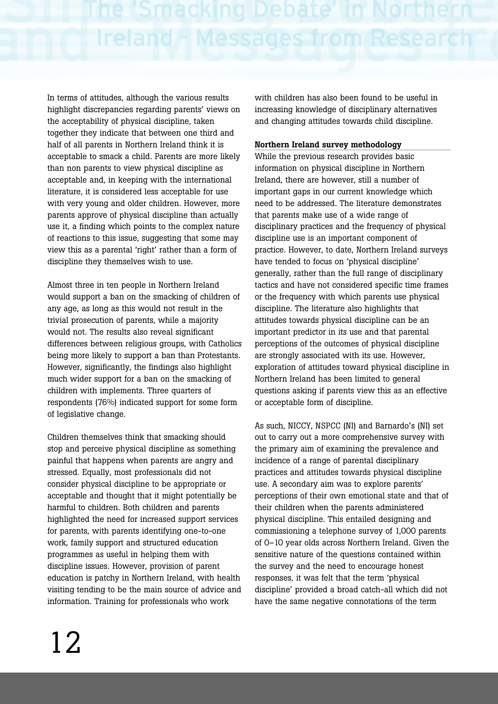In terms of attitudes, although the various results highlight discrepancies regarding parents' views on the acceptability of physical discipline, taken together they indicate that between one third and half of all parents in Northern Ireland think it is acceptable to smack a child. Parents are more likely than non parents to view physical discipline as acceptable and, in keeping with the international literature, it is considered less acceptable for use with very young and older children. However, more parents approve of physical discipline than actually use it, a finding which points to the complex nature of reactions to this issue, suggesting that some may view this as a parental 'right' rather than a form of discipline they themselves wish to use.

Almost three in ten people in Northern Ireland would support a ban on the smacking of children of any age, as long as this would not result in the trivial prosecution of parents, while a majority would not. The results also reveal significant differences between religious groups, with Catholics being more likely to support a ban than Protestants. However, significantly, the findings also highlight much wider support for a ban on the smacking of children with implements. Three quarters of respondents (76%) indicated support for some form of legislative change.

Children themselves think that smacking should stop and perceive physical discipline as something painful that happens when parents are angry and stressed. Equally, most professionals did not consider physical discipline to be appropriate or acceptable and thought that it might potentially be harmful to children. Both children and parents highlighted the need for increased support services for parents, with parents identifying one-to-one work, family support and structured education programmes as useful in helping them with discipline issues. However, provision of parent education is patchy in Northern Ireland, with health visiting tending to be the main source of advice and information. Training for professionals who work

with children has also been found to be useful in increasing knowledge of disciplinary alternatives and changing attitudes towards child discipline.

### **Northern Ireland survey methodology**

While the previous research provides basic information on physical discipline in Northern Ireland, there are however, still a number of important gaps in our current knowledge which need to be addressed. The literature demonstrates that parents make use of a wide range of disciplinary practices and the frequency of physical discipline use is an important component of practice. However, to date, Northern Ireland surveys have tended to focus on 'physical discipline' generally, rather than the full range of disciplinary tactics and have not considered specific time frames or the frequency with which parents use physical discipline. The literature also highlights that attitudes towards physical discipline can be an important predictor in its use and that parental perceptions of the outcomes of physical discipline are strongly associated with its use. However, exploration of attitudes toward physical discipline in Northern Ireland has been limited to general questions asking if parents view this as an effective or acceptable form of discipline.

As such, NICCY, NSPCC (NI) and Barnardo's (NI) set out to carry out a more comprehensive survey with the primary aim of examining the prevalence and incidence of a range of parental disciplinary practices and attitudes towards physical discipline use. A secondary aim was to explore parents' perceptions of their own emotional state and that of their children when the parents administered physical discipline. This entailed designing and commissioning a telephone survey of 1,000 parents of 0–10 year olds across Northern Ireland. Given the sensitive nature of the questions contained within the survey and the need to encourage honest responses, it was felt that the term 'physical discipline' provided a broad catch-all which did not have the same negative connotations of the term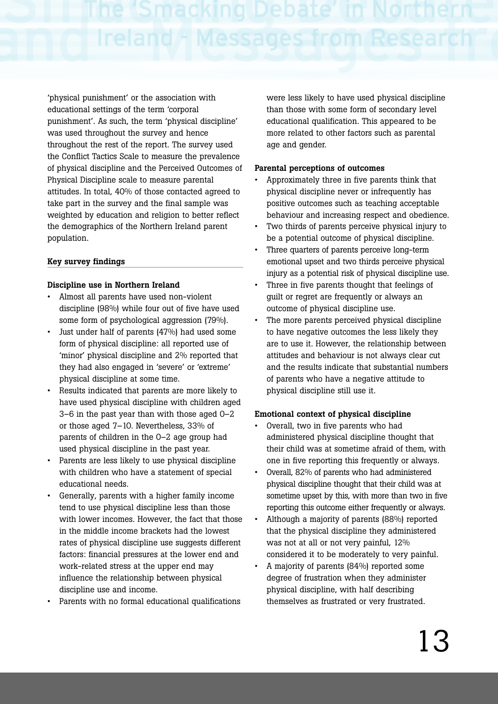'physical punishment' or the association with educational settings of the term 'corporal punishment'. As such, the term 'physical discipline' was used throughout the survey and hence throughout the rest of the report. The survey used the Conflict Tactics Scale to measure the prevalence of physical discipline and the Perceived Outcomes of Physical Discipline scale to measure parental attitudes. In total, 40% of those contacted agreed to take part in the survey and the final sample was weighted by education and religion to better reflect the demographics of the Northern Ireland parent population.

### **Key survey findings**

### **Discipline use in Northern Ireland**

- Almost all parents have used non-violent discipline (98%) while four out of five have used some form of psychological aggression (79%).
- Just under half of parents (47%) had used some form of physical discipline: all reported use of 'minor' physical discipline and 2% reported that they had also engaged in 'severe' or 'extreme' physical discipline at some time.
- Results indicated that parents are more likely to have used physical discipline with children aged 3–6 in the past year than with those aged 0–2 or those aged 7–10. Nevertheless, 33% of parents of children in the 0–2 age group had used physical discipline in the past year.
- Parents are less likely to use physical discipline with children who have a statement of special educational needs.
- Generally, parents with a higher family income tend to use physical discipline less than those with lower incomes. However, the fact that those in the middle income brackets had the lowest rates of physical discipline use suggests different factors: financial pressures at the lower end and work-related stress at the upper end may influence the relationship between physical discipline use and income.
- Parents with no formal educational qualifications

were less likely to have used physical discipline than those with some form of secondary level educational qualification. This appeared to be more related to other factors such as parental age and gender.

### **Parental perceptions of outcomes**

- Approximately three in five parents think that physical discipline never or infrequently has positive outcomes such as teaching acceptable behaviour and increasing respect and obedience.
- Two thirds of parents perceive physical injury to be a potential outcome of physical discipline.
- Three quarters of parents perceive long-term emotional upset and two thirds perceive physical injury as a potential risk of physical discipline use.
- Three in five parents thought that feelings of guilt or regret are frequently or always an outcome of physical discipline use.
- The more parents perceived physical discipline to have negative outcomes the less likely they are to use it. However, the relationship between attitudes and behaviour is not always clear cut and the results indicate that substantial numbers of parents who have a negative attitude to physical discipline still use it.

### **Emotional context of physical discipline**

- Overall, two in five parents who had administered physical discipline thought that their child was at sometime afraid of them, with one in five reporting this frequently or always.
- Overall, 82% of parents who had administered physical discipline thought that their child was at sometime upset by this, with more than two in five reporting this outcome either frequently or always.
- Although a majority of parents (88%) reported that the physical discipline they administered was not at all or not very painful, 12% considered it to be moderately to very painful.
- A majority of parents (84%) reported some degree of frustration when they administer physical discipline, with half describing themselves as frustrated or very frustrated.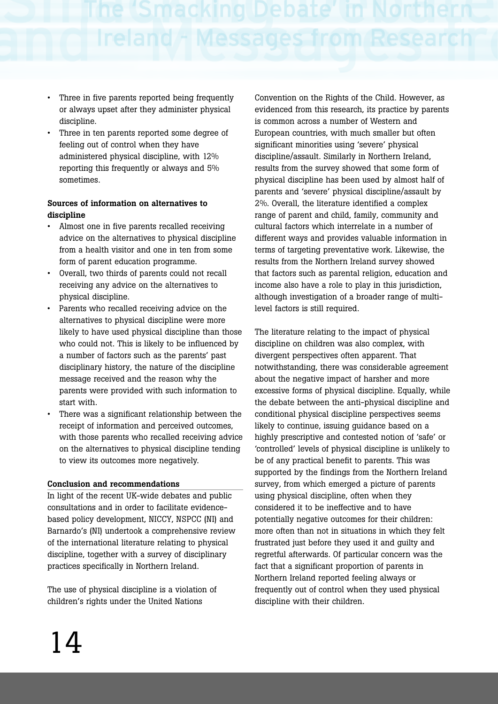- Three in five parents reported being frequently or always upset after they administer physical discipline.
- Three in ten parents reported some degree of feeling out of control when they have administered physical discipline, with 12% reporting this frequently or always and 5% sometimes.

### **Sources of information on alternatives to discipline**

- Almost one in five parents recalled receiving advice on the alternatives to physical discipline from a health visitor and one in ten from some form of parent education programme.
- Overall, two thirds of parents could not recall receiving any advice on the alternatives to physical discipline.
- Parents who recalled receiving advice on the alternatives to physical discipline were more likely to have used physical discipline than those who could not. This is likely to be influenced by a number of factors such as the parents' past disciplinary history, the nature of the discipline message received and the reason why the parents were provided with such information to start with.
- There was a significant relationship between the receipt of information and perceived outcomes, with those parents who recalled receiving advice on the alternatives to physical discipline tending to view its outcomes more negatively.

### **Conclusion and recommendations**

In light of the recent UK-wide debates and public consultations and in order to facilitate evidencebased policy development, NICCY, NSPCC (NI) and Barnardo's (NI) undertook a comprehensive review of the international literature relating to physical discipline, together with a survey of disciplinary practices specifically in Northern Ireland.

The use of physical discipline is a violation of children's rights under the United Nations

Convention on the Rights of the Child. However, as evidenced from this research, its practice by parents is common across a number of Western and European countries, with much smaller but often significant minorities using 'severe' physical discipline/assault. Similarly in Northern Ireland, results from the survey showed that some form of physical discipline has been used by almost half of parents and 'severe' physical discipline/assault by 2%. Overall, the literature identified a complex range of parent and child, family, community and cultural factors which interrelate in a number of different ways and provides valuable information in terms of targeting preventative work. Likewise, the results from the Northern Ireland survey showed that factors such as parental religion, education and income also have a role to play in this jurisdiction, although investigation of a broader range of multilevel factors is still required.

The literature relating to the impact of physical discipline on children was also complex, with divergent perspectives often apparent. That notwithstanding, there was considerable agreement about the negative impact of harsher and more excessive forms of physical discipline. Equally, while the debate between the anti-physical discipline and conditional physical discipline perspectives seems likely to continue, issuing guidance based on a highly prescriptive and contested notion of 'safe' or 'controlled' levels of physical discipline is unlikely to be of any practical benefit to parents. This was supported by the findings from the Northern Ireland survey, from which emerged a picture of parents using physical discipline, often when they considered it to be ineffective and to have potentially negative outcomes for their children: more often than not in situations in which they felt frustrated just before they used it and guilty and regretful afterwards. Of particular concern was the fact that a significant proportion of parents in Northern Ireland reported feeling always or frequently out of control when they used physical discipline with their children.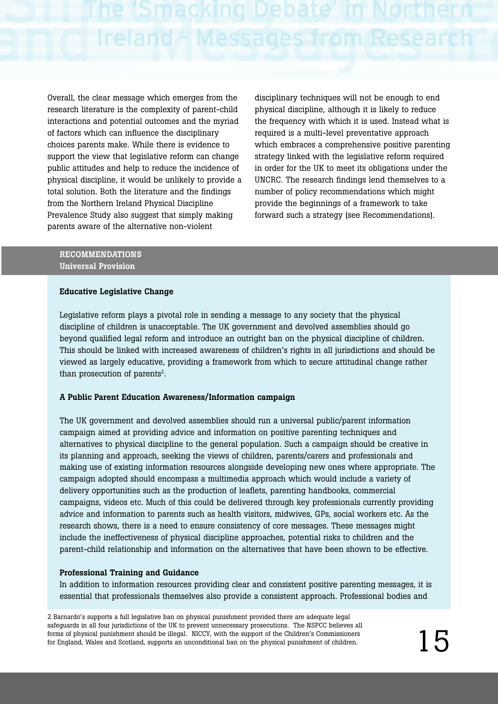Overall, the clear message which emerges from the research literature is the complexity of parent-child interactions and potential outcomes and the myriad of factors which can influence the disciplinary choices parents make. While there is evidence to support the view that legislative reform can change public attitudes and help to reduce the incidence of physical discipline, it would be unlikely to provide a total solution. Both the literature and the findings from the Northern Ireland Physical Discipline Prevalence Study also suggest that simply making parents aware of the alternative non-violent

disciplinary techniques will not be enough to end physical discipline, although it is likely to reduce the frequency with which it is used. Instead what is required is a multi-level preventative approach which embraces a comprehensive positive parenting strategy linked with the legislative reform required in order for the UK to meet its obligations under the UNCRC. The research findings lend themselves to a number of policy recommendations which might provide the beginnings of a framework to take forward such a strategy (see Recommendations).

### **RECOMMENDATIONS Universal Provision**

### **Educative Legislative Change**

Legislative reform plays a pivotal role in sending a message to any society that the physical discipline of children is unacceptable. The UK government and devolved assemblies should go beyond qualified legal reform and introduce an outright ban on the physical discipline of children. This should be linked with increased awareness of children's rights in all jurisdictions and should be viewed as largely educative, providing a framework from which to secure attitudinal change rather than prosecution of parents<sup>2</sup>.

### **A Public Parent Education Awareness/Information campaign**

The UK government and devolved assemblies should run a universal public/parent information campaign aimed at providing advice and information on positive parenting techniques and alternatives to physical discipline to the general population. Such a campaign should be creative in its planning and approach, seeking the views of children, parents/carers and professionals and making use of existing information resources alongside developing new ones where appropriate. The campaign adopted should encompass a multimedia approach which would include a variety of delivery opportunities such as the production of leaflets, parenting handbooks, commercial campaigns, videos etc. Much of this could be delivered through key professionals currently providing advice and information to parents such as health visitors, midwives, GPs, social workers etc. As the research shows, there is a need to ensure consistency of core messages. These messages might include the ineffectiveness of physical discipline approaches, potential risks to children and the parent-child relationship and information on the alternatives that have been shown to be effective.

### **Professional Training and Guidance**

In addition to information resources providing clear and consistent positive parenting messages, it is essential that professionals themselves also provide a consistent approach. Professional bodies and

2 Barnardo's supports a full legislative ban on physical punishment provided there are adequate legal safeguards in all four jurisdictions of the UK to prevent unnecessary prosecutions. The NSPCC believes all forms of physical punishment should be illegal. NICCY, with the support of the Children's Commissioners for England, Wales and Scotland, supports an unconditional ban on the physical punishment of children.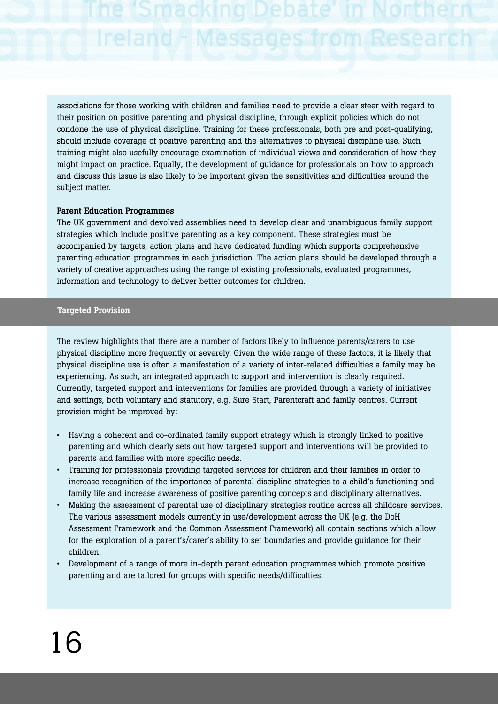associations for those working with children and families need to provide a clear steer with regard to their position on positive parenting and physical discipline, through explicit policies which do not condone the use of physical discipline. Training for these professionals, both pre and post-qualifying, should include coverage of positive parenting and the alternatives to physical discipline use. Such training might also usefully encourage examination of individual views and consideration of how they might impact on practice. Equally, the development of guidance for professionals on how to approach and discuss this issue is also likely to be important given the sensitivities and difficulties around the subject matter.

### **Parent Education Programmes**

The UK government and devolved assemblies need to develop clear and unambiguous family support strategies which include positive parenting as a key component. These strategies must be accompanied by targets, action plans and have dedicated funding which supports comprehensive parenting education programmes in each jurisdiction. The action plans should be developed through a variety of creative approaches using the range of existing professionals, evaluated programmes, information and technology to deliver better outcomes for children.

### **Targeted Provision**

The review highlights that there are a number of factors likely to influence parents/carers to use physical discipline more frequently or severely. Given the wide range of these factors, it is likely that physical discipline use is often a manifestation of a variety of inter-related difficulties a family may be experiencing. As such, an integrated approach to support and intervention is clearly required. Currently, targeted support and interventions for families are provided through a variety of initiatives and settings, both voluntary and statutory, e.g. Sure Start, Parentcraft and family centres. Current provision might be improved by:

- Having a coherent and co-ordinated family support strategy which is strongly linked to positive parenting and which clearly sets out how targeted support and interventions will be provided to parents and families with more specific needs.
- Training for professionals providing targeted services for children and their families in order to increase recognition of the importance of parental discipline strategies to a child's functioning and family life and increase awareness of positive parenting concepts and disciplinary alternatives.
- Making the assessment of parental use of disciplinary strategies routine across all childcare services. The various assessment models currently in use/development across the UK (e.g. the DoH Assessment Framework and the Common Assessment Framework) all contain sections which allow for the exploration of a parent's/carer's ability to set boundaries and provide guidance for their children.
- Development of a range of more in-depth parent education programmes which promote positive parenting and are tailored for groups with specific needs/difficulties.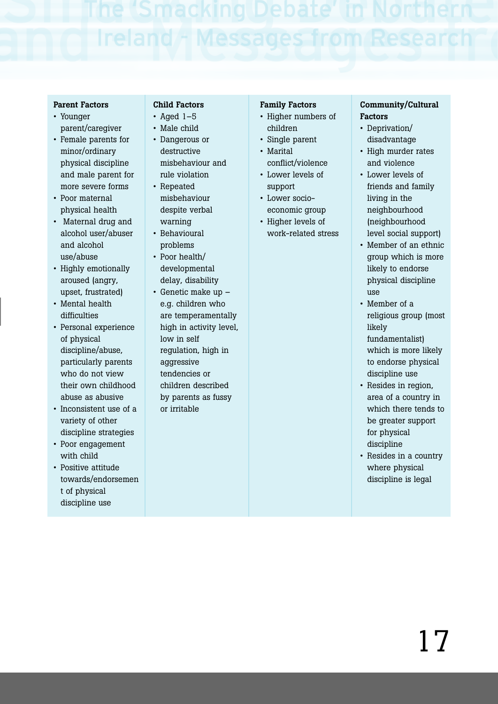### **Parent Factors**

- Younger parent/caregiver
- Female parents for minor/ordinary physical discipline and male parent for more severe forms
- Poor maternal physical health
- Maternal drug and alcohol user/abuser and alcohol use/abuse
- Highly emotionally aroused (angry, upset, frustrated)
- Mental health difficulties
- Personal experience of physical discipline/abuse, particularly parents who do not view their own childhood abuse as abusive
- Inconsistent use of a variety of other discipline strategies
- Poor engagement with child
- Positive attitude towards/endorsemen t of physical discipline use

### **Child Factors**

- Aged  $1-5$
- Male child • Dangerous or destructive misbehaviour and
- rule violation • Repeated misbehaviour despite verbal warning
- Behavioural problems
- Poor health/ developmental delay, disability
- Genetic make up e.g. children who are temperamentally high in activity level, low in self regulation, high in aggressive tendencies or children described by parents as fussy or irritable

### **Family Factors**

- Higher numbers of children
- Single parent • Marital
- conflict/violence
- Lower levels of support • Lower socio-
- economic group • Higher levels of
	- work-related stress

### **Community/Cultural Factors**

- Deprivation/ disadvantage
- High murder rates and violence
- Lower levels of friends and family living in the neighbourhood (neighbourhood level social support)
- Member of an ethnic group which is more likely to endorse physical discipline use
- Member of a religious group (most likely fundamentalist) which is more likely to endorse physical discipline use
- Resides in region, area of a country in which there tends to be greater support for physical discipline
- Resides in a country where physical discipline is legal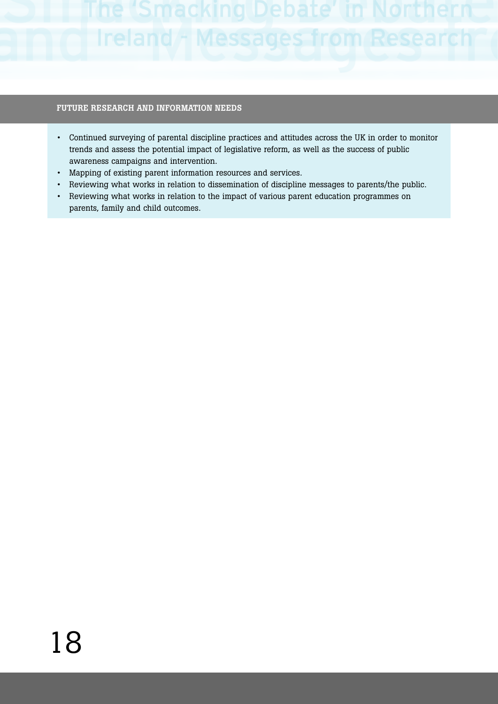# Ireland

### **FUTURE RESEARCH AND INFORMATION NEEDS**

- Continued surveying of parental discipline practices and attitudes across the UK in order to monitor trends and assess the potential impact of legislative reform, as well as the success of public awareness campaigns and intervention.
- Mapping of existing parent information resources and services.
- Reviewing what works in relation to dissemination of discipline messages to parents/the public.
- Reviewing what works in relation to the impact of various parent education programmes on parents, family and child outcomes.